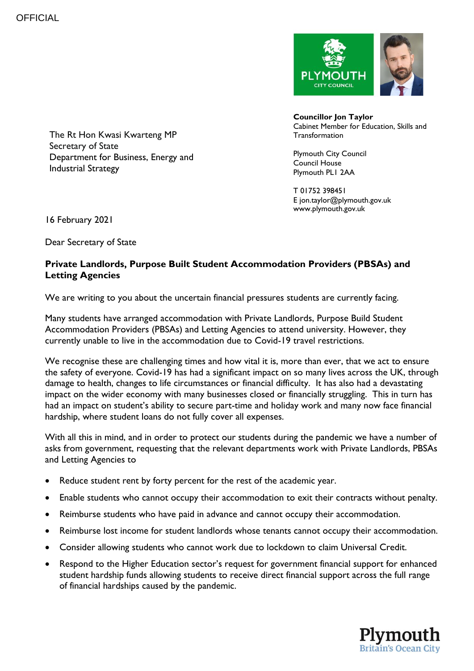

**Councillor Jon Taylor** Cabinet Member for Education, Skills and **Transformation** 

Plymouth City Council Council House Plymouth PL1 2AA

T 01752 398451 E jon.taylor@plymouth.gov.uk www.plymouth.gov.uk

The Rt Hon Kwasi Kwarteng MP Secretary of State Department for Business, Energy and Industrial Strategy

16 February 2021

Dear Secretary of State

## **Private Landlords, Purpose Built Student Accommodation Providers (PBSAs) and Letting Agencies**

We are writing to you about the uncertain financial pressures students are currently facing.

Many students have arranged accommodation with Private Landlords, Purpose Build Student Accommodation Providers (PBSAs) and Letting Agencies to attend university. However, they currently unable to live in the accommodation due to Covid-19 travel restrictions.

We recognise these are challenging times and how vital it is, more than ever, that we act to ensure the safety of everyone. Covid-19 has had a significant impact on so many lives across the UK, through damage to health, changes to life circumstances or financial difficulty. It has also had a devastating impact on the wider economy with many businesses closed or financially struggling. This in turn has had an impact on student's ability to secure part-time and holiday work and many now face financial hardship, where student loans do not fully cover all expenses.

With all this in mind, and in order to protect our students during the pandemic we have a number of asks from government, requesting that the relevant departments work with Private Landlords, PBSAs and Letting Agencies to

- Reduce student rent by forty percent for the rest of the academic year.
- Enable students who cannot occupy their accommodation to exit their contracts without penalty.
- Reimburse students who have paid in advance and cannot occupy their accommodation.
- Reimburse lost income for student landlords whose tenants cannot occupy their accommodation.
- Consider allowing students who cannot work due to lockdown to claim Universal Credit.
- Respond to the Higher Education sector's request for government financial support for enhanced student hardship funds allowing students to receive direct financial support across the full range of financial hardships caused by the pandemic.